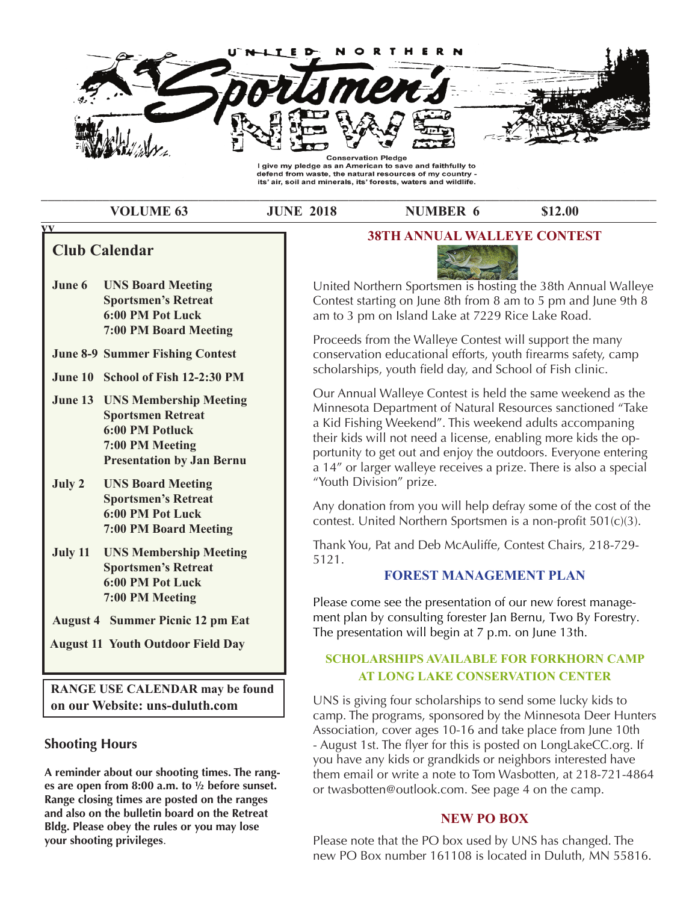

\_\_\_\_\_\_\_\_\_\_\_\_\_\_\_\_\_\_\_\_\_\_\_\_\_\_\_\_\_\_\_\_\_\_\_\_\_\_\_\_\_\_\_\_\_\_\_\_\_\_\_\_\_\_\_\_\_\_\_\_\_\_\_\_\_\_\_\_\_\_\_\_\_\_\_\_\_\_\_\_\_\_\_\_\_\_\_\_\_\_

**volume 63** JUNE 2018 **NUMBER 6** \$12.00

# **Club Calendar**

**vv**

- **Range 12:00 PM Board Meeting June 6 UNS Board Meeting Sportsmen's Retreat 6:00 pM pot luck**
- **June 8-9 summer fishing Contest**
- **June 10 School of Fish 12-2:30 PM**
- **Sportsmen Retreat** Minutes of the club I will be past minutes of the club I will be considered by the constant of the constant of the constant of the constant of the constant of the constant of the constant of the constan **found that the 34th Annual United States of the 34th Annual United States of the 34th Annual United States of the 34th Annual United States of the 34th Annual United States of the 34th Annual United States of the 34th Ann Participal Extending 1984 1995 100 member 1986 1997 100 member 1986 1997 100 member 1986 1997 100 member 1986 1997 100 member 1986 1997 100 member 1997 100 member 1997 100 member 1997 100 member 1997 100 member 1997 100 m** Ralph Levine made a motion to hold an annual banquet  **presentation by Jan bernu** to award our members for a certain number of years of  **June 13 uns Membership Meeting**
- **July 2 UNS Board Meeting The Construction Constraint Construction Constraint Construction Construction Construction Construction Construction Construction Construction Construction Construction Construction Construction C Supper Club. Sportsmen's Retreat 6:00 PM Pot Luck** and so yet mark that the so yet mark that the so yet mark that the so yet mark that the so yet mark that the so yet math  $\alpha$  so yet math that the so yet math that the so yet math that the so yet math th **For April 13th For the April 13th Formal Prince 25th Formal Prince 25th Formal Prince 25th Annual Prince 25th Formal Prince 25th Formal Prince 25th Annual Prince 25th Formal Prince 25th Prince 25th Prince 25th Prince 25th**
- $\overline{\phantom{a}}$ **July 11 UNS Membership Meeting 200 PM. You at 1976. Sportsmen's Retreat sportsmen's retreat and the price is 325 per person. As stated above the person. As stated above the person. As stated above the person. As stated above the person. As stated above the person. As stated above the person. As stated above the band is to homor our members for continuous years for continuous years of the continuous years of the continuous years of the continuous years of the continuous years of the continuous years of the continuous years of the**
- $\lambda$ ugust  $\Lambda$  Summer Pienie 12 nm  $\mathbb{F}_{\mathbf{a}}$ t also is mention **August 4 Summer Picnic 12 pm Eat** ment

**August 11 Youth Outdoor Field Day** 

**RANGE USE CALENDAR may be found \ a** prize website: uns-duluth.com **but Similar CONS** in the MS

# **abush Shooting Hours August 2. For the help. For the help. For the help. For the help. For the help. For the help.**

A reminder about our shooting times. The rang**es are open from 8:00 a.m. to ½ before sunset. Range closing times are posted on the ranges and also on the bulletin board on the Retreat Bldg. Please obey the rules or you may lose your shooting privileges**.

#### **38tH annual Walleye Contest**



United Northern Sportsmen is hosting the 38th Annual Walleye Contest starting on June 8th from 8 am to 5 pm and June 9th 8 am to 3 pm on Island Lake at 7229 Rice Lake Road.

**our Website: Unit Besite: unseresting**<br>
Proceeds from the Walleye Contest will support the many **March 1 St. Louis River walleye &** scholarships, youth fi eld day, and School of Fish clinic. conservation educational efforts, youth firearms safety, camp

> Our Annual Walleye Contest is held the same weekend as the a Kid Fishing Weekend". This weekend adults accompaning **Sportsmen's Retreat** their kids will not need a license, enabling more kids the op-**6:00 PM Pot Luck** portunity to get out and enjoy the outdoors. Everyone entering **7:00 PM Board Meeting** a 14" or larger walleye receives a prize. There is also a special Minnesota Department of Natural Resources sanctioned "Take "Youth Division" prize.

> Any donation from you will help defray some of the cost of the contest. United Northern Sportsmen is a non-profit  $501(c)(3)$ .

**March 14 UNS Membership Meeting Sportsmen's Retreat** Thank You, Pat and Deb McAuliffe, Contest Chairs, 218-729- 5121.

# $$

**March 15 Fox, badger, opossum and** ment plan by consulting forester Jan Bernu, Two By Forestry. **Raccoon seasons close** The presentation will begin at 7 p.m. on June 13th. Please come see the presentation of our new forest manage-

#### honoring fellow members and helping your club. The more the merrier. Also, please, if you now of a vendor **SCHOLARSHIPS AVAILABLE FOR FORKHORN CAMP at long laKe Conservation Center**

camp. The programs, sponsored by the Minnesota Deer Hunters<br> **6:00 PM Pot Luck** and the person some south and the person sponsored by the Minnesota Deer Hunters Association, cover ages 10-16 and take place from June 10th you have any kids or grandkids or neighbors interested have **April 4 UNS Board Meeting** UNS is giving four scholarships to send some lucky kids to Association, cover ages 10-10 and take place from june 10th<br>- August 1st. The flyer for this is posted on LongLakeCC.org. If them email or write a note to Tom Wasbotten, at 218-721-4864 or twasbotten@outlook.com. See page 4 on the camp.

#### **neW po boX**

Please note that the PO box used by UNS has changed. The new PO Box number 161108 is located in Duluth, MN 55816.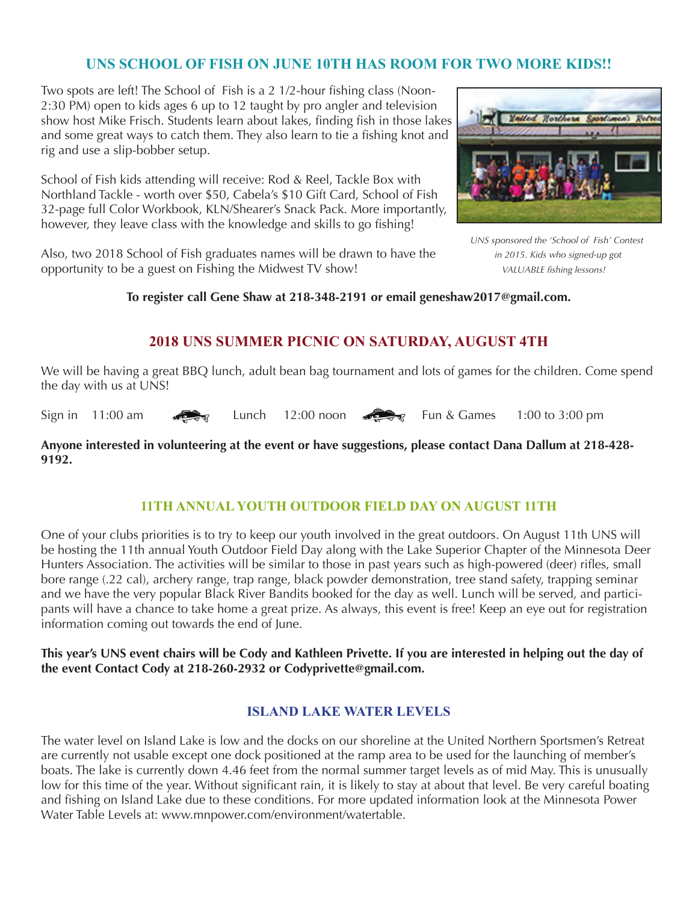# **uns sCHool of fisH on June 10tH Has rooM for tWo More Kids!!**

Two spots are left! The School of Fish is a 2 1/2-hour fishing class (Noon-2:30 PM) open to kids ages 6 up to 12 taught by pro angler and television show host Mike Frisch. Students learn about lakes, finding fish in those lakes and some great ways to catch them. They also learn to tie a fishing knot and rig and use a slip-bobber setup.

School of Fish kids attending will receive: Rod & Reel, Tackle Box with Northland Tackle - worth over \$50, Cabela's \$10 Gift Card, School of Fish 32-page full Color Workbook, KLN/Shearer's Snack Pack. More importantly, however, they leave class with the knowledge and skills to go fishing!

Also, two 2018 School of Fish graduates names will be drawn to have the *in 2015. Kids who signed-up got* opportunity to be a guest on Fishing the Midwest TV show! *VALUABLE fi shing lessons!*



*UNS sponsored the 'School of Fish' Contest* 

**To register call Gene Shaw at 218-348-2191 or email geneshaw2017@gmail.com.** 

# **2018 uns suMMer piCniC on saturday, august 4tH**

We will be having a great BBQ lunch, adult bean bag tournament and lots of games for the children. Come spend the day with us at UNS!

Sign in 11:00 am  $\leq$  Lunch 12:00 noon  $\leq$  Fun & Games 1:00 to 3:00 pm

#### **Anyone interested in volunteering at the event or have suggestions, please contact Dana Dallum at 218-428- 9192.**

## **11tH annual youtH outdoor field day on august 11tH**

One of your clubs priorities is to try to keep our youth involved in the great outdoors. On August 11th UNS will be hosting the 11th annual Youth Outdoor Field Day along with the Lake Superior Chapter of the Minnesota Deer Hunters Association. The activities will be similar to those in past years such as high-powered (deer) rifles, small bore range (.22 cal), archery range, trap range, black powder demonstration, tree stand safety, trapping seminar and we have the very popular Black River Bandits booked for the day as well. Lunch will be served, and participants will have a chance to take home a great prize. As always, this event is free! Keep an eye out for registration information coming out towards the end of June.

#### **This year's UNS event chairs will be Cody and Kathleen Privette. If you are interested in helping out the day of the event Contact Cody at 218-260-2932 or Codyprivette@gmail.com.**

## **island laKe Water levels**

The water level on Island Lake is low and the docks on our shoreline at the United Northern Sportsmen's Retreat are currently not usable except one dock positioned at the ramp area to be used for the launching of member's boats. The lake is currently down 4.46 feet from the normal summer target levels as of mid May. This is unusually low for this time of the year. Without significant rain, it is likely to stay at about that level. Be very careful boating and fishing on Island Lake due to these conditions. For more updated information look at the Minnesota Power Water Table Levels at: www.mnpower.com/environment/watertable.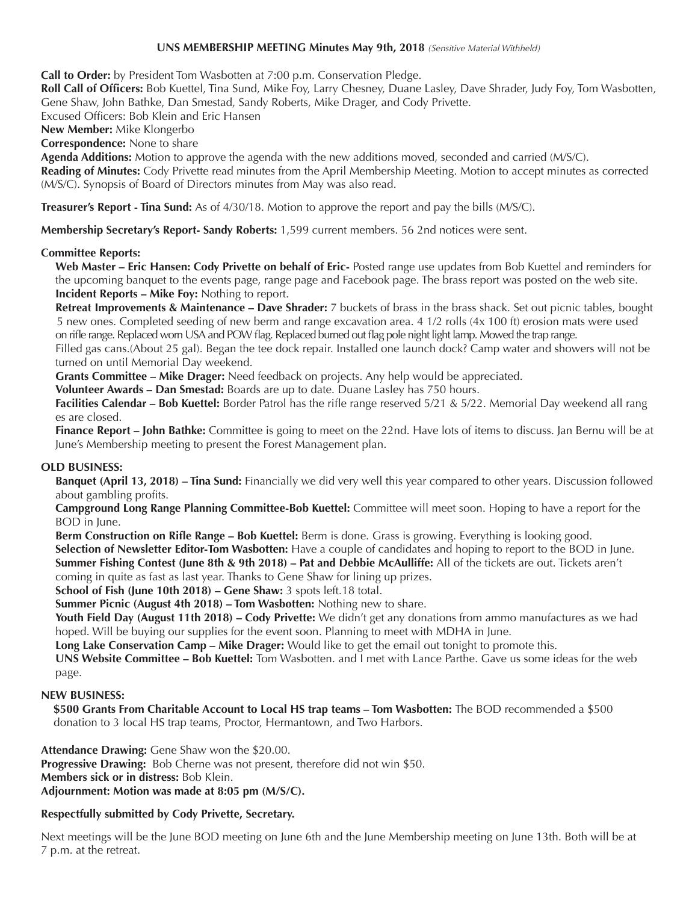#### **UNS MEMBERSHIP MEETING Minutes May 9th, 2018** *(Sensitive Material Withheld)*

**Call to Order:** by President Tom Wasbotten at 7:00 p.m. Conservation Pledge.

**Roll Call of Officers:** Bob Kuettel, Tina Sund, Mike Foy, Larry Chesney, Duane Lasley, Dave Shrader, Judy Foy, Tom Wasbotten, Gene Shaw, John Bathke, Dan Smestad, Sandy Roberts, Mike Drager, and Cody Privette.

Excused Officers: Bob Klein and Eric Hansen

**New Member:** Mike Klongerbo

**Correspondence:** None to share

**Agenda Additions:** Motion to approve the agenda with the new additions moved, seconded and carried (M/S/C).

**Reading of Minutes:** Cody Privette read minutes from the April Membership Meeting. Motion to accept minutes as corrected (M/S/C). Synopsis of Board of Directors minutes from May was also read.

**Treasurer's Report - Tina Sund:** As of 4/30/18. Motion to approve the report and pay the bills (M/S/C).

**Membership Secretary's Report- Sandy Roberts:** 1,599 current members. 56 2nd notices were sent.

#### **Committee Reports:**

**Web Master – Eric Hansen: Cody Privette on behalf of Eric-** Posted range use updates from Bob Kuettel and reminders for the upcoming banquet to the events page, range page and Facebook page. The brass report was posted on the web site. **Incident Reports – Mike Foy:** Nothing to report.

**Retreat Improvements & Maintenance – Dave Shrader:** 7 buckets of brass in the brass shack. Set out picnic tables, bought 5 new ones. Completed seeding of new berm and range excavation area. 4 1/2 rolls (4x 100 ft) erosion mats were used on rifle range. Replaced worn USA and POW flag. Replaced burned out flag pole night light lamp. Mowed the trap range.

Filled gas cans.(About 25 gal). Began the tee dock repair. Installed one launch dock? Camp water and showers will not be turned on until Memorial Day weekend.

**Grants Committee – Mike Drager:** Need feedback on projects. Any help would be appreciated.

**Volunteer Awards – Dan Smestad:** Boards are up to date. Duane Lasley has 750 hours.

**Facilities Calendar – Bob Kuettel:** Border Patrol has the rifle range reserved 5/21 & 5/22. Memorial Day weekend all rang es are closed.

**Finance Report – John Bathke:** Committee is going to meet on the 22nd. Have lots of items to discuss. Jan Bernu will be at June's Membership meeting to present the Forest Management plan.

#### **OLD BUSINESS:**

**Banquet (April 13, 2018) – Tina Sund:** Financially we did very well this year compared to other years. Discussion followed about gambling profits.

**Campground Long Range Planning Committee-Bob Kuettel:** Committee will meet soon. Hoping to have a report for the BOD in June.

**Berm Construction on Rifle Range – Bob Kuettel:** Berm is done. Grass is growing. Everything is looking good. **Selection of Newsletter Editor-Tom Wasbotten:** Have a couple of candidates and hoping to report to the BOD in June. **Summer Fishing Contest (June 8th & 9th 2018) – Pat and Debbie McAulliffe:** All of the tickets are out. Tickets aren't coming in quite as fast as last year. Thanks to Gene Shaw for lining up prizes.

**School of Fish (June 10th 2018) – Gene Shaw:** 3 spots left.18 total.

**Summer Picnic (August 4th 2018) – Tom Wasbotten:** Nothing new to share.

**Youth Field Day (August 11th 2018) – Cody Privette:** We didn't get any donations from ammo manufactures as we had hoped. Will be buying our supplies for the event soon. Planning to meet with MDHA in June.

**Long Lake Conservation Camp – Mike Drager:** Would like to get the email out tonight to promote this.

**UNS Website Committee – Bob Kuettel:** Tom Wasbotten. and I met with Lance Parthe. Gave us some ideas for the web page.

#### **NEW BUSINESS:**

 **\$500 Grants From Charitable Account to Local HS trap teams – Tom Wasbotten:** The BOD recommended a \$500 donation to 3 local HS trap teams, Proctor, Hermantown, and Two Harbors.

**Attendance Drawing:** Gene Shaw won the \$20.00. **Progressive Drawing:** Bob Cherne was not present, therefore did not win \$50. **Members sick or in distress:** Bob Klein. **Adjournment: Motion was made at 8:05 pm (M/S/C).**

#### **Respectfully submitted by Cody Privette, Secretary.**

Next meetings will be the June BOD meeting on June 6th and the June Membership meeting on June 13th. Both will be at 7 p.m. at the retreat.